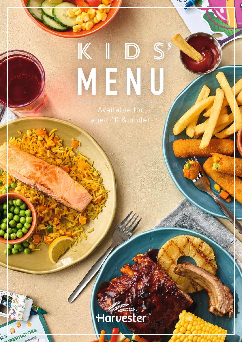# KIDS MENU

Available for aged 10 & under

# Harvester

Ster DERHEROES